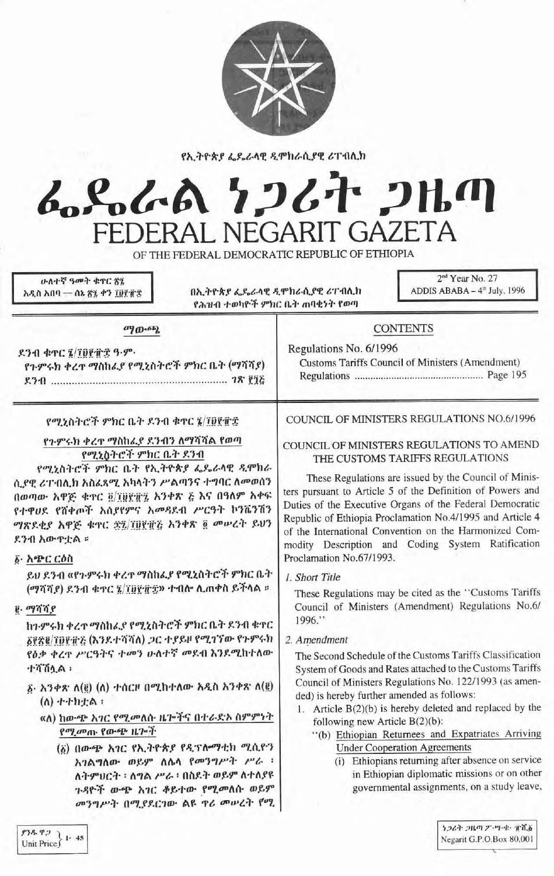

የኢትዮጵያ ፌዴራላዊ ዲሞክራሲያዊ ሪፐብሊክ

# んぺんあ クンムキ コルの FEDERAL NEGARIT GAZETA

OF THE FEDERAL DEMOCRATIC REPUBLIC OF ETHIOPIA

ሁለተኛ ዓመት ቁዋር ጽ፤ አዲስ አበባ — ሰኔ ጽ፯ ቀን ፲፱፻፹፰

በኢትዮጵያ ፌዴራላዊ ዲሞክራሲያዊ ሪፐብሊክ የሕዝብ ተወካዮች ምክር ቤት ጠባቂነት የወጣ

2<sup>nd</sup> Year No. 27 ADDIS ABABA - 4th July, 1996

#### $^{09}$ <sub> $0^{0.65}$ </sub>

ደንብ ቁጥር ൂ/፲፱፻፹፰ ዓ.ም. የጉምሩክ ቀረጥ ማስከፌያ የሚኒስትሮች ምክር ቤት (ማሻሻያ) 

## **CONTENTS**

Regulations No. 6/1996 Customs Tariffs Council of Ministers (Amendment) 

### የሚኒስትሮች ምክር ቤት ደንብ ቁተር ኔ/፲፱፻፹፰

የጉምሩክ ቀረዋ ማስከሬያ ደንብን ለማሻሻል የወጣ የሚኒስትሮች ምክር ቤት ደንብ

የሚኒስትሮች ምክር ቤት የኢትዮጵያ ፌዴራላዊ ዲሞክራ ሲያዊ ሪፐብሊክ አስፈጻሚ አካላትን ሥልጣንና ተግባር ለመወሰን በወጣው አዋጅ ቁዋር ፬/፲፱፻፹፯ አንቀጽ ፩ እና በዓለም አቀፍ የተዋሀደ የሽቀጦች አስያየምና አመዳደብ ሥርዓት ኮንቬንሽን ማጽደቂያ አዋጅ ቁጥር ই1/101 ሺና አንቀጽ ፬ መሠረት ይህን ደንብ አውዋቷል ፡

#### δ· አጭር ርዕስ

ይህ ደንብ «የን·ምሩክ ቀረጥ ማስከፌያ የሚኒስትሮች ምክር ቤት (ማሻሻያ) ደንብ ቁጥር ፮/፲፱፻፹፰» ተብሎ ሲጠቀስ ይችላል ።

## $e.$  ማሻሻያ

ከንምሩክ ቀረጥ ማስከሬያ የሚኒስትሮች ምክር ቤት ደንብ ቁጥር ፩፻ጽ፪/፲፱፻፹፩ (እንደ ተሻሻለ) *ጋ*ር ተያይዞ የሚገኘው የጉምሩክ የዕቃ ቀረዋ ሥርዓትና ተመን ሁለተኛ መደብ እንደሚከተለው ተሻሽሏል:

- $\delta$ · አንቀጽ ለ(፪) (ለ) ተሰርዞ በሚከተለው አዲስ አንቀጽ ለ(፪)  $( \Lambda )$  ተተክቷል:
	- «ለ) ከውጭ አገር የሚመለሱ ዜጕችና በተራድኦ ስምምነት የሚመጡ የውጭ ዜገ•ች
		- (፩) በውጭ አገር የኢትዮጵያ የዲፕሎማቲክ ሚሲዮን አገልግለው ወይም ለሌላ የመንግሥት ሥራ ፡ ለትምህርት ፡ ሰግል ሥራ ፡ በስደት ወይም ለተለያዩ ጉዳዮች ውጭ አገር ቆይተው የሚመለሱ ወይም መንግሥት በሚያደርገው ልዩ ዋሪ መሠረት የሚ

### COUNCIL OF MINISTERS REGULATIONS NO.6/1996

### COUNCIL OF MINISTERS REGULATIONS TO AMEND THE CUSTOMS TARIFFS REGULATIONS

These Regulations are issued by the Council of Ministers pursuant to Article 5 of the Definition of Powers and Duties of the Executive Organs of the Federal Democratic Republic of Ethiopia Proclamation No.4/1995 and Article 4 of the International Convention on the Harmonized Commodity Description and Coding System Ratification Proclamation No.67/1993.

#### 1. Short Title

These Regulations may be cited as the "Customs Tariffs Council of Ministers (Amendment) Regulations No.6/ 1996."

#### 2. Amendment

The Second Schedule of the Customs Tariffs Classification System of Goods and Rates attached to the Customs Tariffs Council of Ministers Regulations No. 122/1993 (as amended) is hereby further amended as follows:

- 1. Article  $B(2)(b)$  is hereby deleted and replaced by the following new Article  $B(2)(b)$ :
	- "(b) Ethiopian Returnees and Expatriates Arriving **Under Cooperation Agreements** 
		- (i) Ethiopians returning after absence on service in Ethiopian diplomatic missions or on other governmental assignments, on a study leave,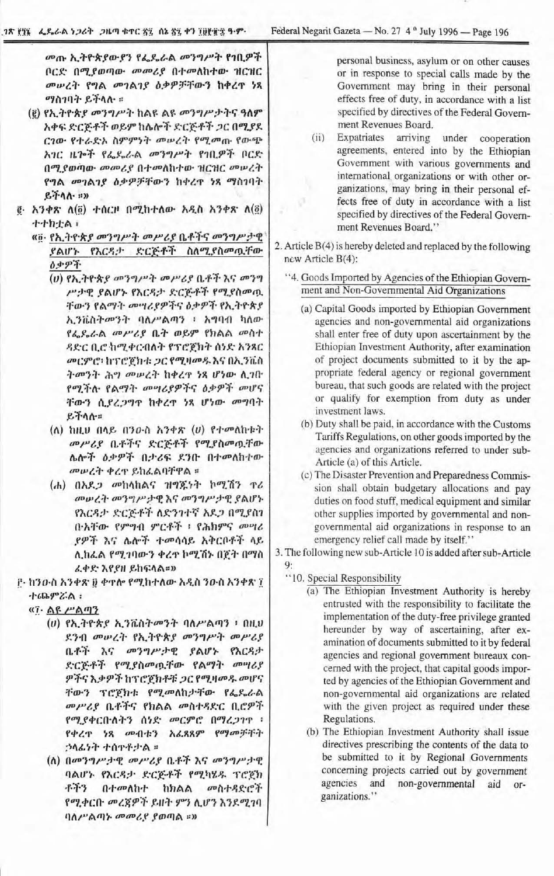መጡ ኢትዮጵያውያን የፌዴራል መንግሥት የኀቢዎች ቦርድ በሚያወጣው መመሪያ በተመለከተው ዝርዝር መሥረት የግል መገልገያ ዕቃዎቻቸውን ከቀረዋ ነጻ ማስገባት ይችላሉ ።

- (፪) የኢትዮጵያ መንግሥት ከልዩ ልዩ መንግሥታትና ዓለም አቀፍ ድርጅቶች ወይም ከሌሎች ድርጅቶች ጋር በሚያደ ርገው የተራድአ ስምምነት መሠረት የሚመጡ የውጭ አገር ዜሎች የፌዴራል መንግሥት የኀቢዎች ቦርድ በሚያወጣው መመሪያ በተመለከተው ዝርዝር መሠረት የግል መገልገያ ዕቃዎቻቸውን ከቀረዋ ነጻ ማስገባት  $R + \Lambda$  =  $n$
- $\mathbf{g}$ · አንቀጽ ለ(፬) ተሰርዞ በሚከተለው አዲስ አንቀጽ ለ(፬) オオカナム:
	- «፩· የኢትዮጵያ መንግሥት መሥሪያ ቤቶችና መንግሥታዊ ያልሆኑ የእርዳታ ድርጅቶች ስለሚያስመዉቸው ዕቃዎች
		- (ሀ) የኢትዮጵያ መንግሥት መሥሪያ ቤቶች እና መንግ ሥታዊ ያልሆኑ የእርዳታ ድርጅቶች የሚያስመዉ ቸውን የልማት መሣሪያዎችና ዕቃዎች የኢትዮጵያ ኢንቬስትመንት ባለሥልጣን ፡ አግባብ ካለው የፌዴራል መሥሪያ ቤት ወይም የክልል መስተ ዳድር ቢሮ ከሚቀርብለት የፕሮጀክት ሰነድ አንጻር መርምሮ፡ ከፕሮጀክቱ ጋር የሚዛመዱ እና በኢንቬስ ትመንት ሕግ መሠረት ከቀረዋ ነጻ ሆነው ሲገበ የሚችሉ የልማት መሣሪያዎችና ዕቃዎች መሆና ቸውን ሲያረጋግጥ ከቀረጥ ነጻ ሆነው መግባት ይችላሉ።
		- $(A)$  hild  $(14.6, 13.0)$   $(12.7)$   $(0)$   $(11.7)$   $(11.7)$ መሥሪያ ቤቶችና ድርጅቶች የሚያስመዉቸው ሴሎች ዕቃዎች በታሪፍ ደንቡ በተመለከተው መሥረት ቀረዋ ይከፌልባቸዋል ፡፡
		- (d) በአደ*ጋ መ*ከላከልና ዝግጁነት ኮሚሽን ዋሪ መሠረት መንግሥታዊ እና መንግሥታዊ ያልሆኑ የእርዳታ ድርጅቶች ለድንገተኛ አደጋ በሚያስገ በ·አቸው የምግብ ምርቶች ፡ የሕክምና መግሪ ያዎች እና ሌሎች ተመሳሳይ አቅርቦቶች ላይ ሊከፌል የሚገባውን ቀረዋ ኮሚሽኑ በጀት በማስ ፈቀድ እየያዘ ይከፍላል።»
- F· ከንዑስ አንቀጽ ፱ ቀጥሎ የሚከተለው አዲስ ንዑስ አንቀጽ ፲ **小品ምሯል:** 
	- $\frac{1}{2}$   $\frac{1}{2}$   $\frac{1}{2}$   $\frac{1}{2}$   $\frac{1}{2}$   $\frac{1}{2}$   $\frac{1}{2}$   $\frac{1}{2}$   $\frac{1}{2}$   $\frac{1}{2}$   $\frac{1}{2}$   $\frac{1}{2}$   $\frac{1}{2}$   $\frac{1}{2}$   $\frac{1}{2}$   $\frac{1}{2}$   $\frac{1}{2}$   $\frac{1}{2}$   $\frac{1}{2}$   $\frac{1}{2}$   $\frac{1}{2}$   $\frac{1}{2}$ 
		- (v) የኢትዮጵያ ኢንቬስትመንት ባለሥልጣን ፡ በዚህ ደንብ መሠረት የኢትዮጵያ መንግሥት መሥሪያ ቤቶች እና መንግሥታዊ ያልሆኑ የእርዳታ ድርጅቶች የሚያስመዉቸው የልማት መሣሪያ ዎችና እቃዎች ከፕሮጀክቶቹ ጋር የሚዛመዱ መሆና ቸውን ፕሮጀክቱ የሚመለከታቸው የፌዴራል መሥሪያ ቤቶችና የክልል መስተዳድር ቢሮዎች የሚያቀርቡለትን ሰነድ መርምሮ በማረጋገዋ ፡ የቀረዋ ነጻ መብቱን አሬጻጸም የማመቻቸት ኃላፊነት ተሰዋቶታል ።
		- (ለ) በመንግሥታዊ መሥሪያ ቤቶች እና መንግሥታዊ ባልሆኑ የእርዳታ ድርጅቶች የሚካሄዱ ፕሮጀክ  $-1 - 7$ በተመለከተ መስተዳድሮች ከክልል የሚቀርቡ መረጀዎች ይዘት ምን ሊሆን እንደሚገባ ባለሥልጣኑ መመሪያ ያወጣል ፡፡»

personal business, asylum or on other causes or in response to special calls made by the Government may bring in their personal effects free of duty, in accordance with a list specified by directives of the Federal Government Revenues Board.

Expatriates arriving under cooperation  $(ii)$ agreements, entered into by the Ethiopian Government with various governments and international organizations or with other organizations, may bring in their personal effects free of duty in accordance with a list specified by directives of the Federal Government Revenues Board."

2. Article  $B(4)$  is hereby deleted and replaced by the following new Article B(4):

- ''4. Goods Imported by Agencies of the Ethiopian Government and Non-Governmental Aid Organizations
	- (a) Capital Goods imported by Ethiopian Government agencies and non-governmental aid organizations shall enter free of duty upon ascertainment by the Ethiopian Investment Authority, after examination of project documents submitted to it by the appropriate federal agency or regional government bureau, that such goods are related with the project or qualify for exemption from duty as under investment laws.
	- (b) Duty shall be paid, in accordance with the Customs Tariffs Regulations, on other goods imported by the agencies and organizations referred to under sub-Article (a) of this Article.
	- (c) The Disaster Prevention and Preparedness Commission shall obtain budgetary allocations and pay duties on food stuff, medical equipment and similar other supplies imported by governmental and nongovernmental aid organizations in response to an emergency relief call made by itself."

3. The following new sub-Article 10 is added after sub-Article 9:

- "10. Special Responsibility
	- (a) The Ethiopian Investment Authority is hereby entrusted with the responsibility to facilitate the implementation of the duty-free privilege granted hereunder by way of ascertaining, after examination of documents submitted to it by federal agencies and regional government bureaux concerned with the project, that capital goods imported by agencies of the Ethiopian Government and non-governmental aid organizations are related with the given project as required under these Regulations.
	- (b) The Ethiopian Investment Authority shall issue directives prescribing the contents of the data to be submitted to it by Regional Governments concerning projects carried out by government agencies and non-governmental aid  $or$ ganizations."